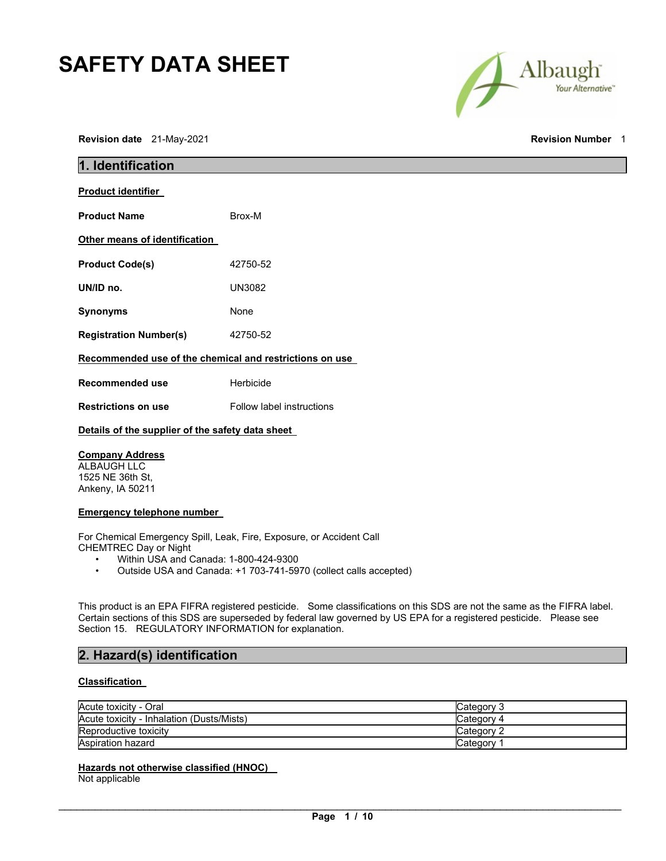# **SAFETY DATA SHEET**



**Revision date** 21-May-2021 **Revision Number** 1

| 1. Identification                                       |                                  |  |
|---------------------------------------------------------|----------------------------------|--|
| <b>Product identifier</b>                               |                                  |  |
| <b>Product Name</b>                                     | Brox-M                           |  |
| Other means of identification                           |                                  |  |
| <b>Product Code(s)</b>                                  | 42750-52                         |  |
| UN/ID no.                                               | <b>UN3082</b>                    |  |
| Synonyms                                                | None                             |  |
| <b>Registration Number(s)</b>                           | 42750-52                         |  |
| Recommended use of the chemical and restrictions on use |                                  |  |
| Recommended use                                         | Herbicide                        |  |
| <b>Restrictions on use</b>                              | <b>Follow label instructions</b> |  |
| Details of the supplier of the safety data sheet        |                                  |  |
| <b>Company Address</b>                                  |                                  |  |

ALBAUGH LLC 1525 NE 36th St, Ankeny, IA 50211

## **Emergency telephone number**

For Chemical Emergency Spill, Leak, Fire, Exposure, or Accident Call CHEMTREC Day or Night

- Within USA and Canada: 1-800-424-9300<br>• Outside USA and Canada: +1 703-741-59
- Outside USA and Canada: +1 703-741-5970 (collect calls accepted)

This product is an EPA FIFRA registered pesticide. Some classifications on this SDS are not the same as the FIFRA label. Certain sections of this SDS are superseded by federal law governed by US EPA for a registered pesticide. Please see Section 15. REGULATORY INFORMATION for explanation.

## **2. Hazard(s) identification**

## **Classification**

| Acute toxicity - Oral                     | Category 3 |
|-------------------------------------------|------------|
| Acute toxicity - Inhalation (Dusts/Mists) | Category 4 |
| Reproductive toxicity                     | Category 2 |
| Aspiration hazard                         | Category   |

## **Hazards not otherwise classified (HNOC)**

Not applicable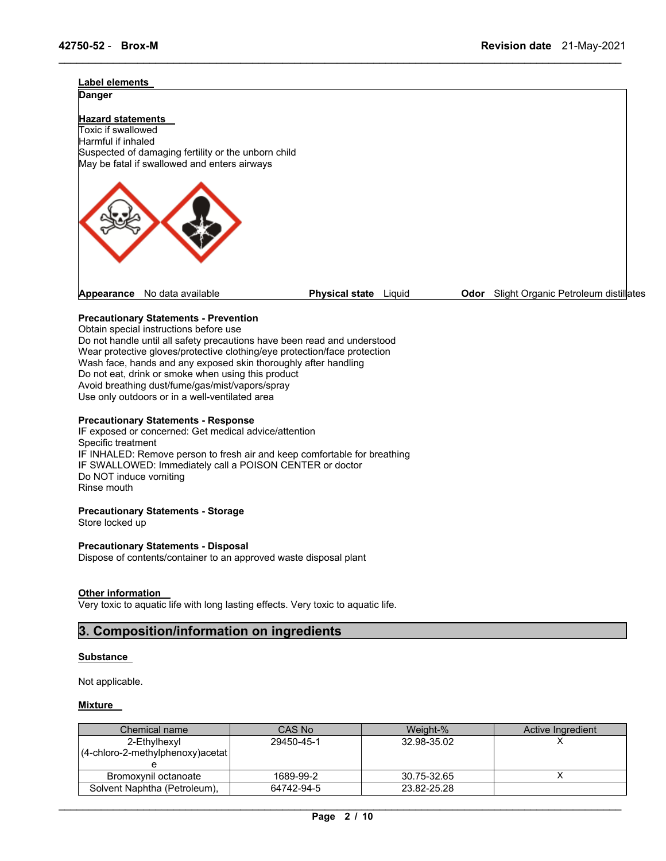# **Label elements Danger Hazard statements**  Toxic if swallowed Harmful if inhaled Suspected of damaging fertility or the unborn child May be fatal if swallowed and enters airways **Appearance** No data available **Physical state** Liquid **Odor** Slight Organic Petroleum distillates

\_\_\_\_\_\_\_\_\_\_\_\_\_\_\_\_\_\_\_\_\_\_\_\_\_\_\_\_\_\_\_\_\_\_\_\_\_\_\_\_\_\_\_\_\_\_\_\_\_\_\_\_\_\_\_\_\_\_\_\_\_\_\_\_\_\_\_\_\_\_\_\_\_\_\_\_\_\_\_\_\_\_\_\_\_\_\_\_\_\_\_\_\_

## **Precautionary Statements - Prevention**

Obtain special instructions before use Do not handle until all safety precautions have been read and understood Wear protective gloves/protective clothing/eye protection/face protection Wash face, hands and any exposed skin thoroughly after handling Do not eat, drink or smoke when using this product Avoid breathing dust/fume/gas/mist/vapors/spray Use only outdoors or in a well-ventilated area

## **Precautionary Statements - Response**

IF exposed or concerned: Get medical advice/attention Specific treatment IF INHALED: Remove person to fresh air and keep comfortable for breathing IF SWALLOWED: Immediately call a POISON CENTER or doctor Do NOT induce vomiting Rinse mouth

#### **Precautionary Statements - Storage**

Store locked up

## **Precautionary Statements - Disposal**

Dispose of contents/container to an approved waste disposal plant

#### **Other information**

Very toxic to aquatic life with long lasting effects. Very toxic to aquatic life.

## **3. Composition/information on ingredients**

#### **Substance**

Not applicable.

## **Mixture**

| Chemical name                                    | CAS No     | Weight-%    | Active Ingredient |
|--------------------------------------------------|------------|-------------|-------------------|
| 2-Ethylhexyl<br>(4-chloro-2-methylphenoxy)acetat | 29450-45-1 | 32.98-35.02 |                   |
| Bromoxvnil octanoate                             | 1689-99-2  | 30.75-32.65 |                   |
| Solvent Naphtha (Petroleum),                     | 64742-94-5 | 23.82-25.28 |                   |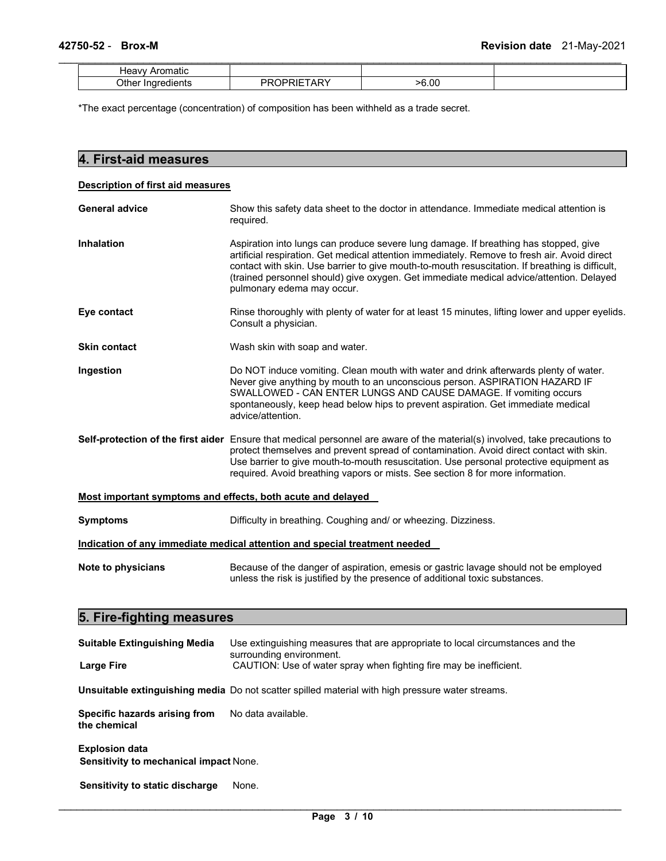| Heavy<br>iauc |        |         |  |
|---------------|--------|---------|--|
| ∩thr<br>----  | $\sim$ | $-6.00$ |  |

\*The exact percentage (concentration) of composition has been withheld as a trade secret.

## **4. First-aid measures Description of first aid measures** General advice **Show this safety data sheet to the doctor in attendance. Immediate medical attention is** required. **Inhalation** Aspiration into lungs can produce severe lung damage. If breathing has stopped, give artificial respiration. Get medical attention immediately. Remove to fresh air. Avoid direct contact with skin. Use barrier to give mouth-to-mouth resuscitation. If breathing is difficult, (trained personnel should) give oxygen. Get immediate medical advice/attention. Delayed pulmonary edema may occur. **Eye contact** Rinse thoroughly with plenty of water for at least 15 minutes, lifting lower and upper eyelids. Consult a physician. **Skin contact Wash skin with soap and water. Ingestion Do NOT** induce vomiting. Clean mouth with water and drink afterwards plenty of water. Never give anything by mouth to an unconscious person. ASPIRATION HAZARD IF SWALLOWED - CAN ENTER LUNGS AND CAUSE DAMAGE. If vomiting occurs spontaneously, keep head below hips to prevent aspiration. Get immediate medical advice/attention. **Self-protection of the first aider** Ensure that medical personnel are aware of the material(s) involved, take precautions to protect themselves and prevent spread of contamination. Avoid direct contact with skin. Use barrier to give mouth-to-mouth resuscitation. Use personal protective equipment as required. Avoid breathing vapors or mists. See section 8 for more information. **Most important symptoms and effects, both acute and delayed Symptoms** Difficulty in breathing. Coughing and/ or wheezing. Dizziness. **Indication of any immediate medical attention and special treatment needed Note to physicians Because of the danger of aspiration, emesis or gastric lavage should not be employed** unless the risk is justified by the presence of additional toxic substances. **5. Fire-fighting measures**

| <b>Suitable Extinguishing Media</b>                             | Use extinguishing measures that are appropriate to local circumstances and the<br>surrounding environment. |
|-----------------------------------------------------------------|------------------------------------------------------------------------------------------------------------|
| <b>Large Fire</b>                                               | CAUTION: Use of water spray when fighting fire may be inefficient.                                         |
|                                                                 | Unsuitable extinguishing media Do not scatter spilled material with high pressure water streams.           |
| Specific hazards arising from<br>the chemical                   | No data available.                                                                                         |
| <b>Explosion data</b><br>Sensitivity to mechanical impact None. |                                                                                                            |
| Sensitivity to static discharge                                 | None.                                                                                                      |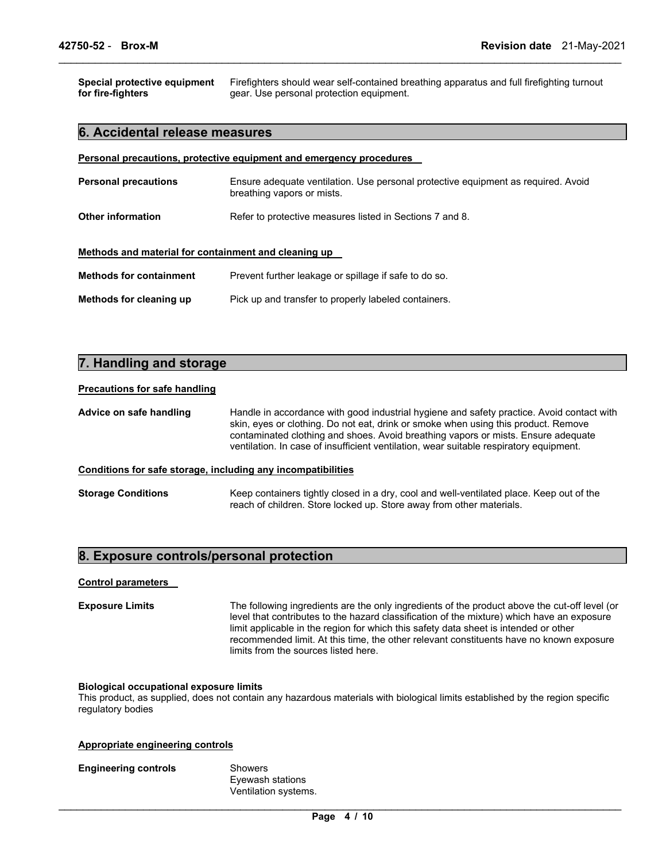**Special protective equipment for fire-fighters**  Firefighters should wear self-contained breathing apparatus and full firefighting turnout gear. Use personal protection equipment.

\_\_\_\_\_\_\_\_\_\_\_\_\_\_\_\_\_\_\_\_\_\_\_\_\_\_\_\_\_\_\_\_\_\_\_\_\_\_\_\_\_\_\_\_\_\_\_\_\_\_\_\_\_\_\_\_\_\_\_\_\_\_\_\_\_\_\_\_\_\_\_\_\_\_\_\_\_\_\_\_\_\_\_\_\_\_\_\_\_\_\_\_\_

## **6. Accidental release measures**

| Personal precautions, protective equipment and emergency procedures |                                                                                                                 |  |  |
|---------------------------------------------------------------------|-----------------------------------------------------------------------------------------------------------------|--|--|
| <b>Personal precautions</b>                                         | Ensure adequate ventilation. Use personal protective equipment as required. Avoid<br>breathing vapors or mists. |  |  |
| <b>Other information</b>                                            | Refer to protective measures listed in Sections 7 and 8.                                                        |  |  |
| Methods and material for containment and cleaning up                |                                                                                                                 |  |  |
| <b>Methods for containment</b>                                      | Prevent further leakage or spillage if safe to do so.                                                           |  |  |
| Methods for cleaning up                                             | Pick up and transfer to properly labeled containers.                                                            |  |  |

## **7. Handling and storage**

## **Precautions for safe handling**

**Advice on safe handling** Handle in accordance with good industrial hygiene and safety practice. Avoid contact with skin, eyes or clothing. Do not eat, drink or smoke when using this product. Remove contaminated clothing and shoes. Avoid breathing vapors or mists. Ensure adequate ventilation. In case of insufficient ventilation, wear suitable respiratory equipment.

## **Conditions for safe storage, including any incompatibilities**

| <b>Storage Conditions</b> | Keep containers tightly closed in a dry, cool and well-ventilated place. Keep out of the |
|---------------------------|------------------------------------------------------------------------------------------|
|                           | reach of children. Store locked up. Store away from other materials.                     |

## **8. Exposure controls/personal protection**

#### **Control parameters**

**Exposure Limits** The following ingredients are the only ingredients of the product above the cut-off level (or level that contributes to the hazard classification of the mixture) which have an exposure limit applicable in the region for which this safety data sheet is intended or other recommended limit. At this time, the other relevant constituents have no known exposure limits from the sources listed here.

#### **Biological occupational exposure limits**

This product, as supplied, does not contain any hazardous materials with biological limits established by the region specific regulatory bodies

#### **Appropriate engineering controls**

## **Engineering controls** Showers

Eyewash stations Ventilation systems.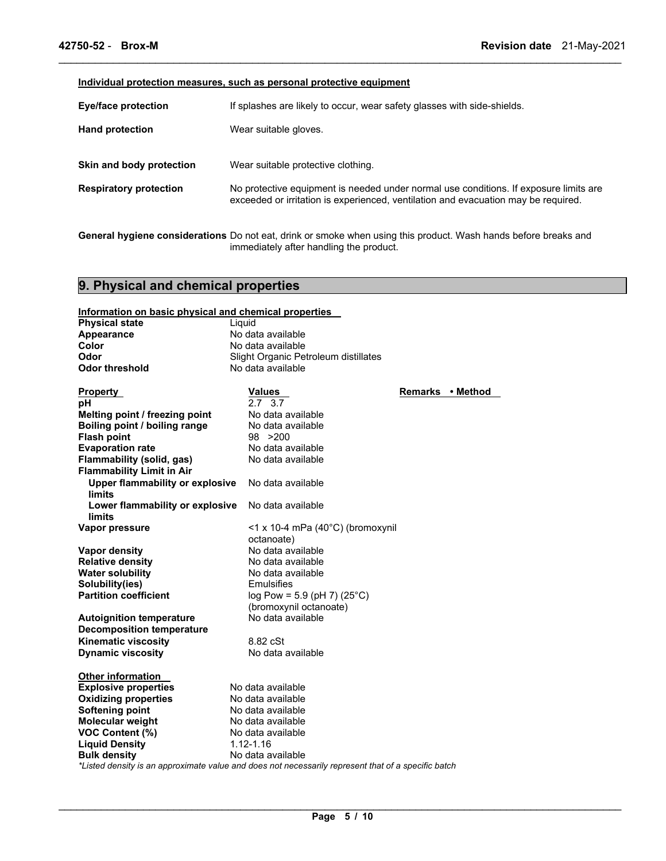## **Individual protection measures, such as personal protective equipment**

| <b>Eye/face protection</b>    | If splashes are likely to occur, wear safety glasses with side-shields.                                                                                                     |  |  |
|-------------------------------|-----------------------------------------------------------------------------------------------------------------------------------------------------------------------------|--|--|
| <b>Hand protection</b>        | Wear suitable gloves.                                                                                                                                                       |  |  |
| Skin and body protection      | Wear suitable protective clothing.                                                                                                                                          |  |  |
| <b>Respiratory protection</b> | No protective equipment is needed under normal use conditions. If exposure limits are<br>exceeded or irritation is experienced, ventilation and evacuation may be required. |  |  |

\_\_\_\_\_\_\_\_\_\_\_\_\_\_\_\_\_\_\_\_\_\_\_\_\_\_\_\_\_\_\_\_\_\_\_\_\_\_\_\_\_\_\_\_\_\_\_\_\_\_\_\_\_\_\_\_\_\_\_\_\_\_\_\_\_\_\_\_\_\_\_\_\_\_\_\_\_\_\_\_\_\_\_\_\_\_\_\_\_\_\_\_\_

**General hygiene considerations** Do not eat, drink or smoke when using this product. Wash hands before breaks and immediately after handling the product.

## **9. Physical and chemical properties**

| Information on basic physical and chemical properties                                               |                                          |                  |  |
|-----------------------------------------------------------------------------------------------------|------------------------------------------|------------------|--|
| <b>Physical state</b>                                                                               | Liquid                                   |                  |  |
| Appearance                                                                                          | No data available                        |                  |  |
| Color                                                                                               | No data available                        |                  |  |
| Odor                                                                                                | Slight Organic Petroleum distillates     |                  |  |
| <b>Odor threshold</b>                                                                               | No data available                        |                  |  |
|                                                                                                     |                                          |                  |  |
| <b>Property</b>                                                                                     | <b>Values</b>                            | Remarks • Method |  |
| рH                                                                                                  | 2.7 3.7                                  |                  |  |
| Melting point / freezing point                                                                      | No data available                        |                  |  |
| Boiling point / boiling range                                                                       | No data available                        |                  |  |
| <b>Flash point</b>                                                                                  | 98 > 200                                 |                  |  |
| <b>Evaporation rate</b>                                                                             | No data available                        |                  |  |
| Flammability (solid, gas)                                                                           | No data available                        |                  |  |
| <b>Flammability Limit in Air</b>                                                                    |                                          |                  |  |
| Upper flammability or explosive                                                                     | No data available                        |                  |  |
| <b>limits</b>                                                                                       |                                          |                  |  |
| Lower flammability or explosive                                                                     | No data available                        |                  |  |
| limits                                                                                              |                                          |                  |  |
| Vapor pressure                                                                                      | <1 x 10-4 mPa (40°C) (bromoxynil         |                  |  |
|                                                                                                     | octanoate)                               |                  |  |
| Vapor density                                                                                       | No data available                        |                  |  |
| <b>Relative density</b>                                                                             | No data available                        |                  |  |
| <b>Water solubility</b>                                                                             | No data available                        |                  |  |
| Solubility(ies)                                                                                     | <b>Emulsifies</b>                        |                  |  |
| <b>Partition coefficient</b>                                                                        | log Pow = $5.9$ (pH 7) (25 $^{\circ}$ C) |                  |  |
|                                                                                                     | (bromoxynil octanoate)                   |                  |  |
| <b>Autoignition temperature</b>                                                                     | No data available                        |                  |  |
| <b>Decomposition temperature</b>                                                                    |                                          |                  |  |
| <b>Kinematic viscosity</b>                                                                          | 8.82 cSt                                 |                  |  |
| <b>Dynamic viscosity</b>                                                                            | No data available                        |                  |  |
|                                                                                                     |                                          |                  |  |
| <b>Other information</b>                                                                            |                                          |                  |  |
| <b>Explosive properties</b>                                                                         | No data available                        |                  |  |
| <b>Oxidizing properties</b>                                                                         | No data available                        |                  |  |
| <b>Softening point</b>                                                                              | No data available                        |                  |  |
| Molecular weight                                                                                    | No data available                        |                  |  |
| VOC Content (%)                                                                                     | No data available                        |                  |  |
| <b>Liquid Density</b>                                                                               | $1.12 - 1.16$                            |                  |  |
| <b>Bulk density</b>                                                                                 | No data available                        |                  |  |
| *Listed density is an approximate value and does not necessarily represent that of a specific batch |                                          |                  |  |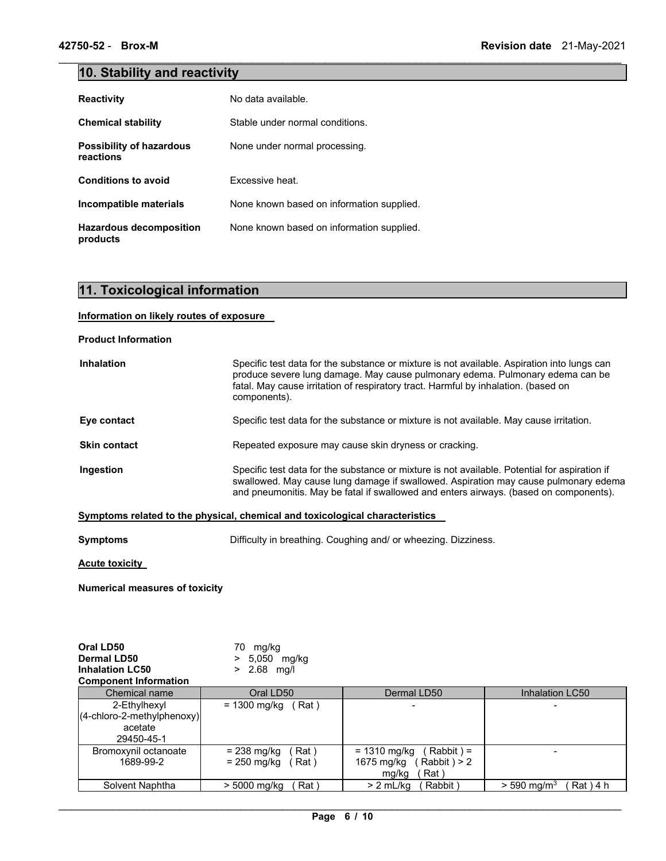## **10. Stability and reactivity**

| <b>Reactivity</b>                            | No data available.                        |
|----------------------------------------------|-------------------------------------------|
| <b>Chemical stability</b>                    | Stable under normal conditions.           |
| <b>Possibility of hazardous</b><br>reactions | None under normal processing.             |
| <b>Conditions to avoid</b>                   | Excessive heat.                           |
| Incompatible materials                       | None known based on information supplied. |
| <b>Hazardous decomposition</b><br>products   | None known based on information supplied. |

 $\mathcal{L}_\mathcal{L} = \{ \mathcal{L}_\mathcal{L} = \{ \mathcal{L}_\mathcal{L} = \{ \mathcal{L}_\mathcal{L} = \{ \mathcal{L}_\mathcal{L} = \{ \mathcal{L}_\mathcal{L} = \{ \mathcal{L}_\mathcal{L} = \{ \mathcal{L}_\mathcal{L} = \{ \mathcal{L}_\mathcal{L} = \{ \mathcal{L}_\mathcal{L} = \{ \mathcal{L}_\mathcal{L} = \{ \mathcal{L}_\mathcal{L} = \{ \mathcal{L}_\mathcal{L} = \{ \mathcal{L}_\mathcal{L} = \{ \mathcal{L}_\mathcal{$ 

## **11. Toxicological information**

## **Information on likely routes of exposure**

**Product Information** 

| <b>Inhalation</b>   | Specific test data for the substance or mixture is not available. Aspiration into lungs can<br>produce severe lung damage. May cause pulmonary edema. Pulmonary edema can be<br>fatal. May cause irritation of respiratory tract. Harmful by inhalation. (based on<br>components). |
|---------------------|------------------------------------------------------------------------------------------------------------------------------------------------------------------------------------------------------------------------------------------------------------------------------------|
| Eye contact         | Specific test data for the substance or mixture is not available. May cause irritation.                                                                                                                                                                                            |
| <b>Skin contact</b> | Repeated exposure may cause skin dryness or cracking.                                                                                                                                                                                                                              |
| Ingestion           | Specific test data for the substance or mixture is not available. Potential for aspiration if<br>swallowed. May cause lung damage if swallowed. Aspiration may cause pulmonary edema<br>and pneumonitis. May be fatal if swallowed and enters airways. (based on components).      |

## **Symptoms related to the physical, chemical and toxicological characteristics**

**Symptoms Difficulty in breathing. Coughing and/ or wheezing. Dizziness.** 

**Acute toxicity** 

**Numerical measures of toxicity**

| Oral LD50                    | 70.<br>mg/kg            |                              |                                          |
|------------------------------|-------------------------|------------------------------|------------------------------------------|
| Dermal LD50                  | $> 5,050$ mg/kg         |                              |                                          |
| <b>Inhalation LC50</b>       | $> 2.68$ mg/l           |                              |                                          |
| <b>Component Information</b> |                         |                              |                                          |
| Chemical name                | Oral LD50               | Dermal LD50                  | Inhalation LC50                          |
| 2-Ethylhexyl                 | $= 1300$ mg/kg<br>(Rat) |                              |                                          |
| (4-chloro-2-methylphenoxy)   |                         |                              |                                          |
| acetate                      |                         |                              |                                          |
| 29450-45-1                   |                         |                              |                                          |
| Bromoxynil octanoate         | Rat)<br>$= 238$ mg/kg   | Rabbit) =<br>$= 1310$ mg/kg  |                                          |
| 1689-99-2                    | = 250 mg/kg<br>Rat)     | $Rabbit$ ) > 2<br>1675 mg/kg |                                          |
|                              |                         | Rat)<br>mg/kg                |                                          |
| Solvent Naphtha              | Rat)<br>$> 5000$ mg/kg  | Rabbit)<br>$> 2$ mL/kg       | $Rat$ ) 4 h<br>$>$ 590 mg/m <sup>3</sup> |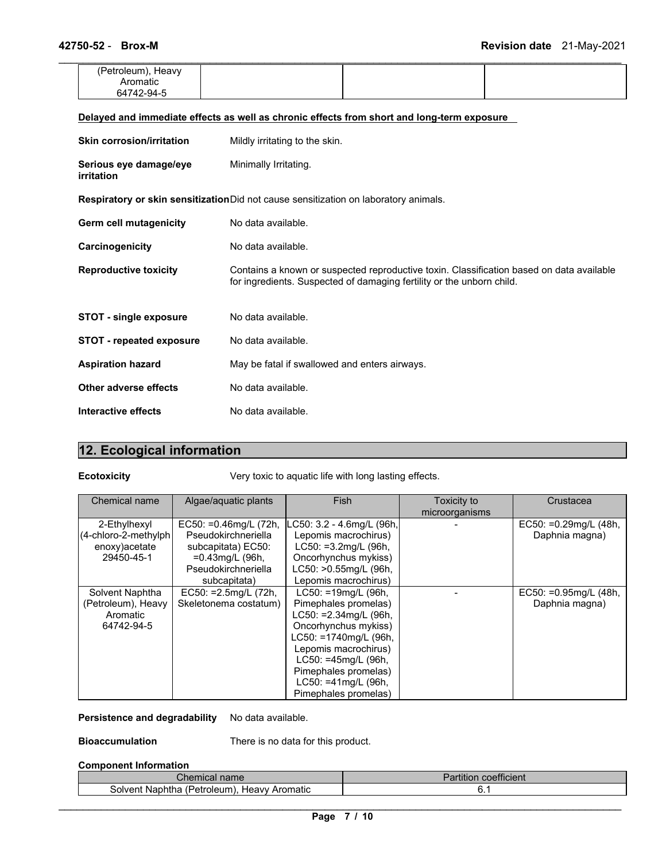| (Petroleum), Heavy<br>Aromatic<br>64742-94-5 |  |  |  |
|----------------------------------------------|--|--|--|
|                                              |  |  |  |

| <b>Skin corrosion/irritation</b>     | Mildly irritating to the skin.                                                                                                                                    |
|--------------------------------------|-------------------------------------------------------------------------------------------------------------------------------------------------------------------|
| Serious eye damage/eye<br>irritation | Minimally Irritating.                                                                                                                                             |
|                                      | Respiratory or skin sensitization Did not cause sensitization on laboratory animals.                                                                              |
| Germ cell mutagenicity               | No data available.                                                                                                                                                |
| Carcinogenicity                      | No data available.                                                                                                                                                |
| <b>Reproductive toxicity</b>         | Contains a known or suspected reproductive toxin. Classification based on data available<br>for ingredients. Suspected of damaging fertility or the unborn child. |
| <b>STOT - single exposure</b>        | No data available.                                                                                                                                                |
| <b>STOT</b> - repeated exposure      | No data available.                                                                                                                                                |
| <b>Aspiration hazard</b>             | May be fatal if swallowed and enters airways.                                                                                                                     |
| Other adverse effects                | No data available.                                                                                                                                                |
| Interactive effects                  | No data available.                                                                                                                                                |

## **12. Ecological information**

**Ecotoxicity** Very toxic to aquatic life with long lasting effects.

| Chemical name                                                         | Algae/aguatic plants                                                                                                               | <b>Fish</b>                                                                                                                                                                                                                                      | Toxicity to<br>microorganisms | Crustacea                                  |
|-----------------------------------------------------------------------|------------------------------------------------------------------------------------------------------------------------------------|--------------------------------------------------------------------------------------------------------------------------------------------------------------------------------------------------------------------------------------------------|-------------------------------|--------------------------------------------|
| 2-Ethylhexyl<br>(4-chloro-2-methylph)<br>enoxy) acetate<br>29450-45-1 | EC50: $=0.46$ mg/L (72h,<br>Pseudokirchneriella<br>subcapitata) EC50:<br>$=0.43$ mg/L (96h,<br>Pseudokirchneriella<br>subcapitata) | LC50: 3.2 - 4.6mg/L (96h,<br>Lepomis macrochirus)<br>$LC50: =3.2$ mg/L (96h,<br>Oncorhynchus mykiss)<br>LC50: >0.55mg/L (96h,<br>Lepomis macrochirus)                                                                                            |                               | EC50: =0.29mg/L (48h,<br>Daphnia magna)    |
| Solvent Naphtha<br>(Petroleum), Heavy<br>Aromatic<br>64742-94-5       | $EC50: =2.5mg/L (72h,$<br>Skeletonema costatum)                                                                                    | LC50: =19mg/L (96h,<br>Pimephales promelas)<br>$LC50: = 2.34$ mg/L (96h,<br>Oncorhynchus mykiss)<br>LC50: =1740mg/L (96h,<br>Lepomis macrochirus)<br>LC50: =45mg/L (96h,<br>Pimephales promelas)<br>LC50: = 41mg/L (96h,<br>Pimephales promelas) |                               | EC50: $=0.95$ mg/L (48h,<br>Daphnia magna) |

## Persistence and degradability No data available.

**Bioaccumulation** There is no data for this product.

## **Component Information**

| ∶hemical<br>name                                                       | $-0.0000$<br>coefficient<br>artition |
|------------------------------------------------------------------------|--------------------------------------|
| Heavv<br>(Petroleum<br>Aromatic<br>solven'<br>-------<br>Naphtha<br>Αľ |                                      |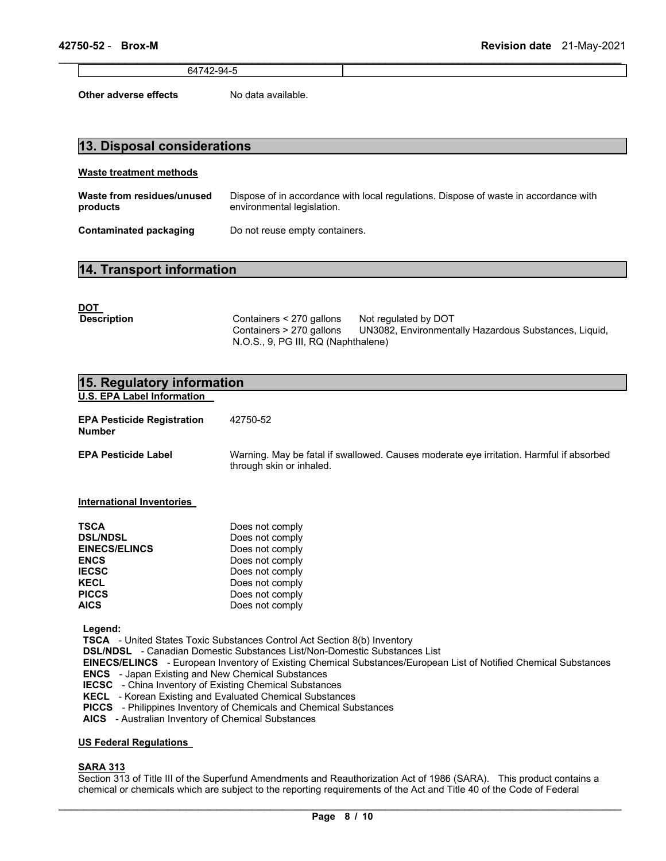64742-94-5

**Other adverse effects** No data available.

## **13. Disposal considerations**

## **Waste treatment methods**

| Waste from residues/unused | Dispose of in accordance with local regulations. Dispose of waste in accordance with |
|----------------------------|--------------------------------------------------------------------------------------|
| products                   | environmental legislation.                                                           |
| Contaminated packaging     | Do not reuse empty containers.                                                       |

 $\mathcal{L}_\mathcal{L} = \{ \mathcal{L}_\mathcal{L} = \{ \mathcal{L}_\mathcal{L} = \{ \mathcal{L}_\mathcal{L} = \{ \mathcal{L}_\mathcal{L} = \{ \mathcal{L}_\mathcal{L} = \{ \mathcal{L}_\mathcal{L} = \{ \mathcal{L}_\mathcal{L} = \{ \mathcal{L}_\mathcal{L} = \{ \mathcal{L}_\mathcal{L} = \{ \mathcal{L}_\mathcal{L} = \{ \mathcal{L}_\mathcal{L} = \{ \mathcal{L}_\mathcal{L} = \{ \mathcal{L}_\mathcal{L} = \{ \mathcal{L}_\mathcal{$ 

## **14. Transport information**

| <u>DOT</u>         |                                                                                             |                                                                               |
|--------------------|---------------------------------------------------------------------------------------------|-------------------------------------------------------------------------------|
| <b>Description</b> | Containers < 270 gallons<br>Containers > 270 gallons<br>N.O.S., 9, PG III, RQ (Naphthalene) | Not regulated by DOT<br>UN3082, Environmentally Hazardous Substances, Liquid, |

| 15. Regulatory information                                                                                                                                                                                                                                                                                                                                                                                                                                                                                                                                                                                                      |                                                                                                                                                                                                                                                                                                                           |  |  |  |  |
|---------------------------------------------------------------------------------------------------------------------------------------------------------------------------------------------------------------------------------------------------------------------------------------------------------------------------------------------------------------------------------------------------------------------------------------------------------------------------------------------------------------------------------------------------------------------------------------------------------------------------------|---------------------------------------------------------------------------------------------------------------------------------------------------------------------------------------------------------------------------------------------------------------------------------------------------------------------------|--|--|--|--|
| <b>U.S. EPA Label Information</b>                                                                                                                                                                                                                                                                                                                                                                                                                                                                                                                                                                                               |                                                                                                                                                                                                                                                                                                                           |  |  |  |  |
| <b>EPA Pesticide Registration</b><br><b>Number</b>                                                                                                                                                                                                                                                                                                                                                                                                                                                                                                                                                                              | 42750-52                                                                                                                                                                                                                                                                                                                  |  |  |  |  |
| <b>EPA Pesticide Label</b>                                                                                                                                                                                                                                                                                                                                                                                                                                                                                                                                                                                                      | Warning. May be fatal if swallowed. Causes moderate eye irritation. Harmful if absorbed<br>through skin or inhaled.                                                                                                                                                                                                       |  |  |  |  |
| <b>International Inventories</b>                                                                                                                                                                                                                                                                                                                                                                                                                                                                                                                                                                                                |                                                                                                                                                                                                                                                                                                                           |  |  |  |  |
| <b>TSCA</b><br><b>DSL/NDSL</b><br><b>EINECS/ELINCS</b><br><b>ENCS</b><br><b>IECSC</b><br><b>KECL</b><br><b>PICCS</b><br><b>AICS</b>                                                                                                                                                                                                                                                                                                                                                                                                                                                                                             | Does not comply<br>Does not comply<br>Does not comply<br>Does not comply<br>Does not comply<br>Does not comply<br>Does not comply<br>Does not comply                                                                                                                                                                      |  |  |  |  |
| Legend:<br><b>TSCA</b> - United States Toxic Substances Control Act Section 8(b) Inventory<br><b>DSL/NDSL</b> - Canadian Domestic Substances List/Non-Domestic Substances List<br>EINECS/ELINCS - European Inventory of Existing Chemical Substances/European List of Notified Chemical Substances<br><b>ENCS</b> - Japan Existing and New Chemical Substances<br><b>IECSC</b> - China Inventory of Existing Chemical Substances<br>KECL - Korean Existing and Evaluated Chemical Substances<br><b>PICCS</b> - Philippines Inventory of Chemicals and Chemical Substances<br>AICS - Australian Inventory of Chemical Substances |                                                                                                                                                                                                                                                                                                                           |  |  |  |  |
| <b>US Federal Regulations</b>                                                                                                                                                                                                                                                                                                                                                                                                                                                                                                                                                                                                   |                                                                                                                                                                                                                                                                                                                           |  |  |  |  |
| <b>SARA 313</b>                                                                                                                                                                                                                                                                                                                                                                                                                                                                                                                                                                                                                 | $\mathbf{r}$ , and $\mathbf{r}$ and $\mathbf{r}$ and $\mathbf{r}$ and $\mathbf{r}$ and $\mathbf{r}$ and $\mathbf{r}$ and $\mathbf{r}$ and $\mathbf{r}$ and $\mathbf{r}$ and $\mathbf{r}$ and $\mathbf{r}$ and $\mathbf{r}$ and $\mathbf{r}$ and $\mathbf{r}$ and $\mathbf{r}$ and $\mathbf{r}$ an<br>$\sim$ $\sim$ $\sim$ |  |  |  |  |

Section 313 of Title III of the Superfund Amendments and Reauthorization Act of 1986 (SARA). This product contains a chemical or chemicals which are subject to the reporting requirements of the Act and Title 40 of the Code of Federal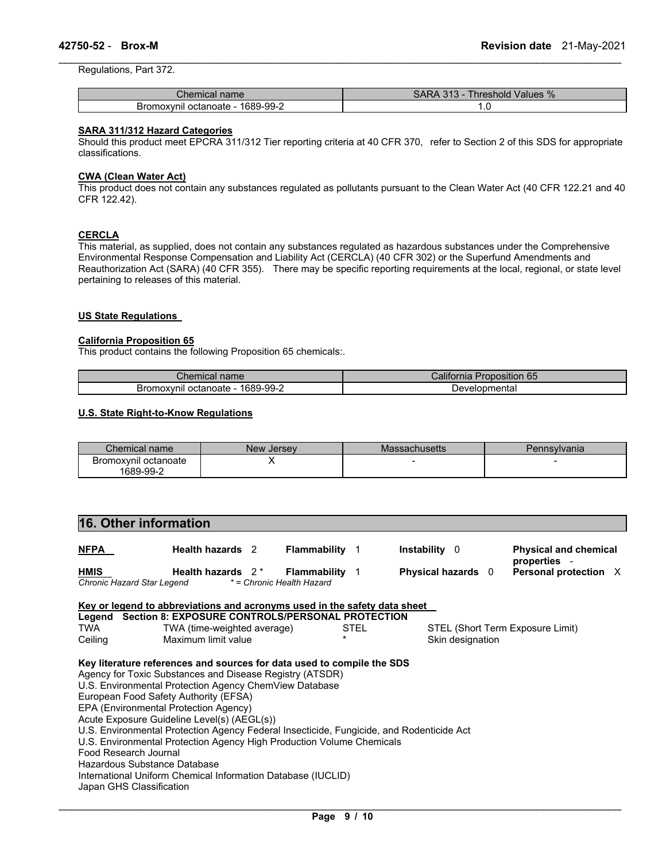Regulations, Part 372.

| name<br>"hemical"                 | Values %<br>$\mathbf{A}$<br>hreshold |  |  |  |
|-----------------------------------|--------------------------------------|--|--|--|
| 1689-99-2<br>Bromoxynil octanoate | . . ب                                |  |  |  |

\_\_\_\_\_\_\_\_\_\_\_\_\_\_\_\_\_\_\_\_\_\_\_\_\_\_\_\_\_\_\_\_\_\_\_\_\_\_\_\_\_\_\_\_\_\_\_\_\_\_\_\_\_\_\_\_\_\_\_\_\_\_\_\_\_\_\_\_\_\_\_\_\_\_\_\_\_\_\_\_\_\_\_\_\_\_\_\_\_\_\_\_\_

## **SARA 311/312 Hazard Categories**

Should this product meet EPCRA 311/312 Tier reporting criteria at 40 CFR 370, refer to Section 2 of this SDS for appropriate classifications.

## **CWA (Clean Water Act)**

This product does not contain any substances regulated as pollutants pursuant to the Clean Water Act (40 CFR 122.21 and 40 CFR 122.42).

## **CERCLA**

This material, as supplied, does not contain any substances regulated as hazardous substances under the Comprehensive Environmental Response Compensation and Liability Act (CERCLA) (40 CFR 302) or the Superfund Amendments and Reauthorization Act (SARA) (40 CFR 355). There may be specific reporting requirements at the local, regional, or state level pertaining to releases of this material.

## **US State Regulations**

#### **California Proposition 65**

This product contains the following Proposition 65 chemicals:.

| Chemical<br>name                  | <br>Proposition 65<br>California |  |  |
|-----------------------------------|----------------------------------|--|--|
| 1689-99-2<br>Bromoxynil octanoate | Developmental                    |  |  |

## **U.S. State Right-to-Know Regulations**

| Chemical name                     | New Jersey | Massachusetts | Pennsylvania |
|-----------------------------------|------------|---------------|--------------|
| Bromoxvnil octanoate<br>1689-99-2 |            |               |              |

## **16. Other information**

| <b>NFPA</b>                               | <b>Health hazards</b> 2 | Flammability                                     | <b>Instability</b> 0    | <b>Physical and chemical</b><br>properties |
|-------------------------------------------|-------------------------|--------------------------------------------------|-------------------------|--------------------------------------------|
| <b>HMIS</b><br>Chronic Hazard Star Legend | Health hazards $2^*$    | <b>Flammability</b><br>* = Chronic Health Hazard | <b>Physical hazards</b> | <b>Personal protection</b>                 |

|         | Key or legend to abbreviations and acronyms used in the safety data sheet                |      |                                  |
|---------|------------------------------------------------------------------------------------------|------|----------------------------------|
|         | Legend Section 8: EXPOSURE CONTROLS/PERSONAL PROTECTION                                  |      |                                  |
| TWA     | TWA (time-weighted average)                                                              | STEL | STEL (Short Term Exposure Limit) |
| Ceiling | Maximum limit value                                                                      |      | Skin designation                 |
|         | Key literature references and sources for data used to compile the SDS                   |      |                                  |
|         | Agency for Toxic Substances and Disease Registry (ATSDR)                                 |      |                                  |
|         | U.S. Environmental Protection Agency ChemView Database                                   |      |                                  |
|         | European Food Safety Authority (EFSA)                                                    |      |                                  |
|         | EPA (Environmental Protection Agency)                                                    |      |                                  |
|         | Acute Exposure Guideline Level(s) (AEGL(s))                                              |      |                                  |
|         | U.S. Environmental Protection Agency Federal Insecticide, Fungicide, and Rodenticide Act |      |                                  |
|         | U.S. Environmental Protection Agency High Production Volume Chemicals                    |      |                                  |
|         | Food Research Journal                                                                    |      |                                  |
|         | Hazardous Substance Database                                                             |      |                                  |
|         | International Uniform Chemical Information Database (IUCLID)                             |      |                                  |

Japan GHS Classification